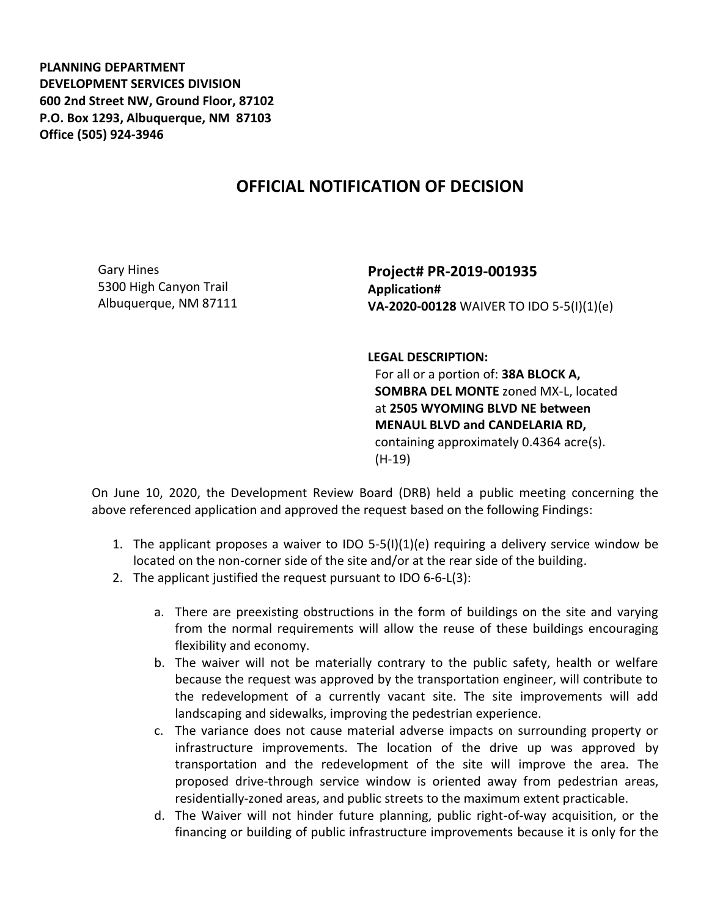**PLANNING DEPARTMENT DEVELOPMENT SERVICES DIVISION 600 2nd Street NW, Ground Floor, 87102 P.O. Box 1293, Albuquerque, NM 87103 Office (505) 924-3946** 

## **OFFICIAL NOTIFICATION OF DECISION**

Gary Hines 5300 High Canyon Trail Albuquerque, NM 87111

**Project# PR-2019-001935 Application# VA-2020-00128** WAIVER TO IDO 5-5(I)(1)(e)

**LEGAL DESCRIPTION:**

For all or a portion of: **38A BLOCK A, SOMBRA DEL MONTE** zoned MX-L, located at **2505 WYOMING BLVD NE between MENAUL BLVD and CANDELARIA RD,**  containing approximately 0.4364 acre(s). (H-19)

On June 10, 2020, the Development Review Board (DRB) held a public meeting concerning the above referenced application and approved the request based on the following Findings:

- 1. The applicant proposes a waiver to IDO 5-5(I)(1)(e) requiring a delivery service window be located on the non-corner side of the site and/or at the rear side of the building.
- 2. The applicant justified the request pursuant to IDO 6-6-L(3):
	- a. There are preexisting obstructions in the form of buildings on the site and varying from the normal requirements will allow the reuse of these buildings encouraging flexibility and economy.
	- b. The waiver will not be materially contrary to the public safety, health or welfare because the request was approved by the transportation engineer, will contribute to the redevelopment of a currently vacant site. The site improvements will add landscaping and sidewalks, improving the pedestrian experience.
	- c. The variance does not cause material adverse impacts on surrounding property or infrastructure improvements. The location of the drive up was approved by transportation and the redevelopment of the site will improve the area. The proposed drive-through service window is oriented away from pedestrian areas, residentially-zoned areas, and public streets to the maximum extent practicable.
	- d. The Waiver will not hinder future planning, public right-of-way acquisition, or the financing or building of public infrastructure improvements because it is only for the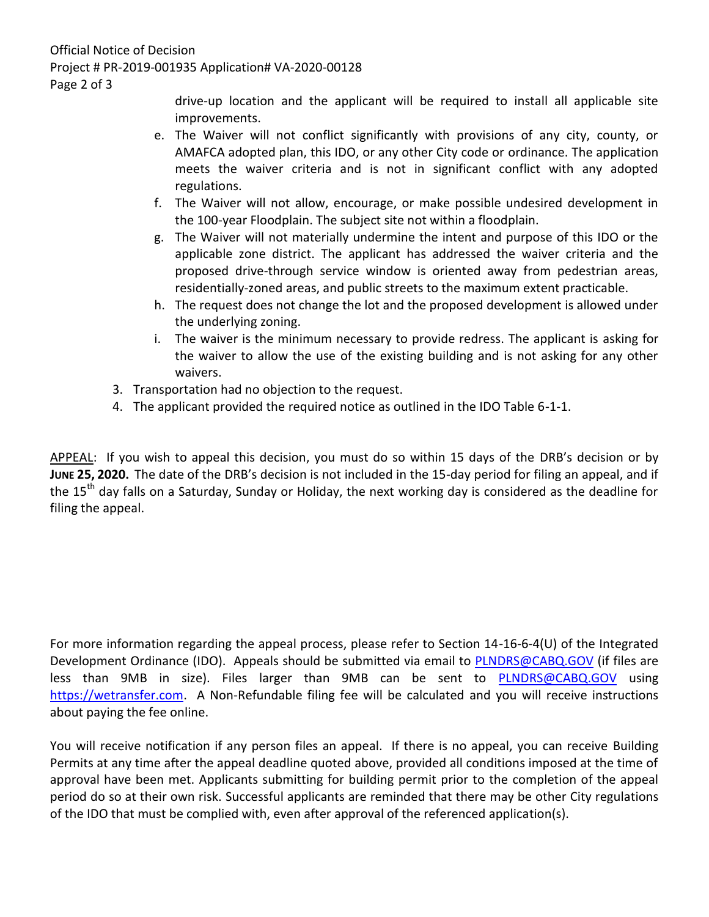drive-up location and the applicant will be required to install all applicable site improvements.

- e. The Waiver will not conflict significantly with provisions of any city, county, or AMAFCA adopted plan, this IDO, or any other City code or ordinance. The application meets the waiver criteria and is not in significant conflict with any adopted regulations.
- f. The Waiver will not allow, encourage, or make possible undesired development in the 100-year Floodplain. The subject site not within a floodplain.
- g. The Waiver will not materially undermine the intent and purpose of this IDO or the applicable zone district. The applicant has addressed the waiver criteria and the proposed drive-through service window is oriented away from pedestrian areas, residentially-zoned areas, and public streets to the maximum extent practicable.
- h. The request does not change the lot and the proposed development is allowed under the underlying zoning.
- i. The waiver is the minimum necessary to provide redress. The applicant is asking for the waiver to allow the use of the existing building and is not asking for any other waivers.
- 3. Transportation had no objection to the request.
- 4. The applicant provided the required notice as outlined in the IDO Table 6-1-1.

APPEAL: If you wish to appeal this decision, you must do so within 15 days of the DRB's decision or by **JUNE 25, 2020.** The date of the DRB's decision is not included in the 15-day period for filing an appeal, and if the 15<sup>th</sup> day falls on a Saturday, Sunday or Holiday, the next working day is considered as the deadline for filing the appeal.

For more information regarding the appeal process, please refer to Section 14-16-6-4(U) of the Integrated Development Ordinance (IDO). Appeals should be submitted via email to [PLNDRS@CABQ.GOV](mailto:PLNDRS@CABQ.GOV) (if files are less than 9MB in size). Files larger than 9MB can be sent to **[PLNDRS@CABQ.GOV](mailto:PLNDRS@CABQ.GOV)** using [https://wetransfer.com.](https://wetransfer.com/) A Non-Refundable filing fee will be calculated and you will receive instructions about paying the fee online.

You will receive notification if any person files an appeal. If there is no appeal, you can receive Building Permits at any time after the appeal deadline quoted above, provided all conditions imposed at the time of approval have been met. Applicants submitting for building permit prior to the completion of the appeal period do so at their own risk. Successful applicants are reminded that there may be other City regulations of the IDO that must be complied with, even after approval of the referenced application(s).